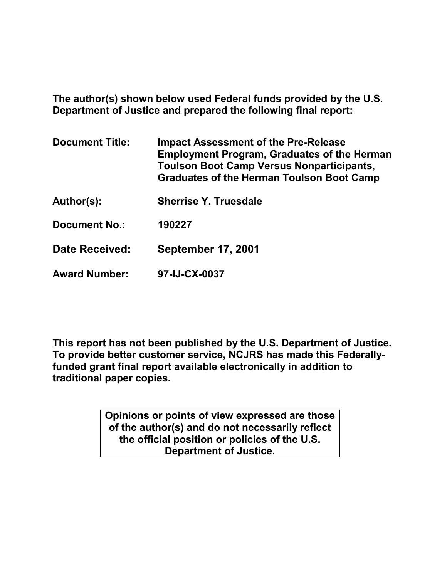**The author(s) shown below used Federal funds provided by the U.S. Department of Justice and prepared the following final report:**

| <b>Document Title:</b> | <b>Impact Assessment of the Pre-Release</b><br><b>Employment Program, Graduates of the Herman</b><br><b>Toulson Boot Camp Versus Nonparticipants,</b><br><b>Graduates of the Herman Toulson Boot Camp</b> |
|------------------------|-----------------------------------------------------------------------------------------------------------------------------------------------------------------------------------------------------------|
| Author(s):             | <b>Sherrise Y. Truesdale</b>                                                                                                                                                                              |
| <b>Document No.:</b>   | 190227                                                                                                                                                                                                    |
| Date Received:         | <b>September 17, 2001</b>                                                                                                                                                                                 |
| <b>Award Number:</b>   | 97-IJ-CX-0037                                                                                                                                                                                             |

**This report has not been published by the U.S. Department of Justice. To provide better customer service, NCJRS has made this Federallyfunded grant final report available electronically in addition to traditional paper copies.**

> **Opinions or points of view expressed are those of the author(s) and do not necessarily reflect the official position or policies of the U.S. Department of Justice.**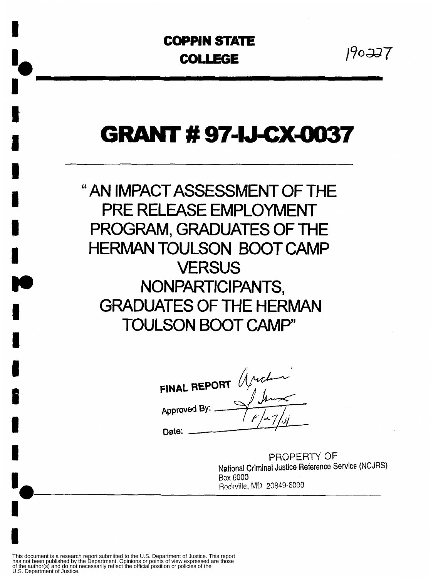# **COPPIN STATE COPPIN STATE**<br> **COLLEGE**  $190-337$

**i**<br>.

**I**<br>I

### **GRANT #97-IJ-CX-0037**

"AN IMPACT ASSESSMENT OF THE PRE RELEASE EMPLOYMENT PROGRAM, GRADUATES OF THE HERMAN TOULSON BOOT CAMP **VERSUS** NONPARTICIPANTS, GRADUATES OF THE HERMAN TOULSON BOOT CAMP'

FINAL REPORT  $Muchm$ Approved By:

Date:

PROPERTY **OF**  National Criminal Justice Reference Service (NCJRS) Box **6000**  PROPER<br>National Criminal Justice Re<br>Box 6000<br>Rockville, MD 20849-6000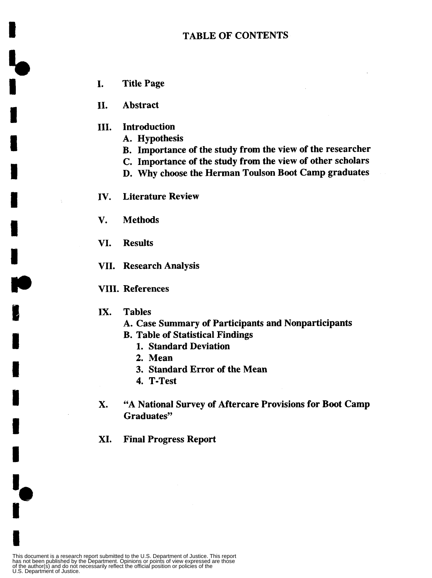- I. Title Page
- 11. Abstract
- **111.** Introduction
	- A. Hypothesis
	- B. Importance of the study from the view of the researcher
	- C. Importance of the study from the view of other scholars
	- D. Why choose the Herman Toulson Boot Camp graduates
- IV. Literature Review
- V. Methods
- VI. Results
- VII. Research Analysis
- VIII. References
- **IX.** Tables
	- A. Case Summary of Participants and Nonparticipants
	- B. Table of Statistical Findings
		- 1. Standard Deviation
		- **2.** Mean
		- 3. Standard Error of the Mean
		- **4.** T-Test
- X. "A National Survey of Aftercare Provisions for Boot Camp Graduates"
- XI. Final Progress Report

This document is a research report submitted to the U.S. Department of Justice. This report<br>has not been published by the Department. Opinions or points of view expressed are those<br>of the author(s) and do not necessarily r

**I** 

5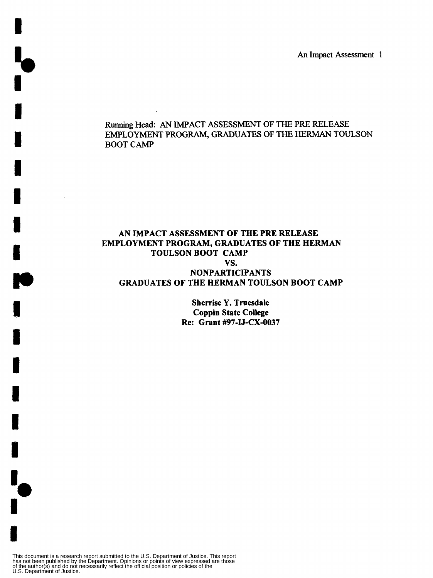*An* **Impact Assessment I** 

#### Running **Head:** *AN* **IMPACT ASSESSMENT OF** THE PRE **RELEASE**  EMPLOYMENT **PROGRAM, GRADUATES** OF THE HERMAN **TOULSON BOOT** *CAMP*

#### **AN IMPACT ASSESSMENT OF THE PRE RELEASE EMPLOYMENT PROGRAM, GRADUATES OF THE HERMAN TOULSON BOOT CAMP vs. NONPARTICIPANTS GRADUATES OF THE HERMAN TOULSON BOOT CAMP**

 $\sim 10$ 

 $\bar{z}$ 

**Sberrise Y. Truesdale Coppin State College Re: Grant #97-IJ-CX-0037** 

This document is a research report submitted to the U.S. Department of Justice. This report<br>has not been published by the Department. Opinions or points of view expressed are those<br>of the author(s) and do not necessarily r

 $\frac{1}{2}$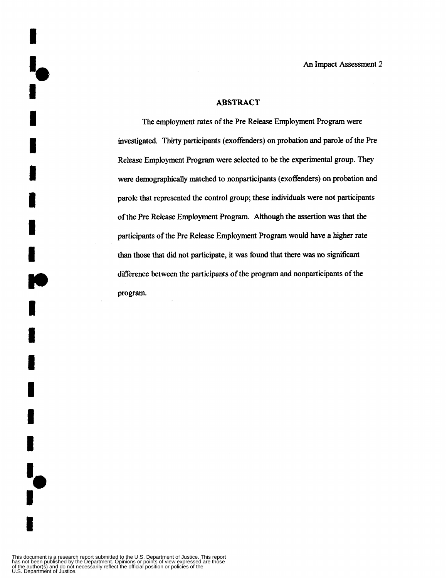#### **ABSTRACT**

The employment rates of the Pre Release Employment Program were investigated. Thirty participants (exoffenders) on probation and parole of the Pre Release Employment Program were selected to be the experimental group. They were demographically matched to nonparticipants (exoffenders) **on** probation and parole that represented the control group; these individuals were not participants of the Pre Release Employment Program. Although the assertion was that the participants of the Pre Release Employment **Program** would have a higher rate than those that did not participate, it was found that there was no significant difference between the participants *of* the program and nonparticipants of the program.

 $\bar{z}$ 

 $\mathcal{L}^{\mathcal{L}}$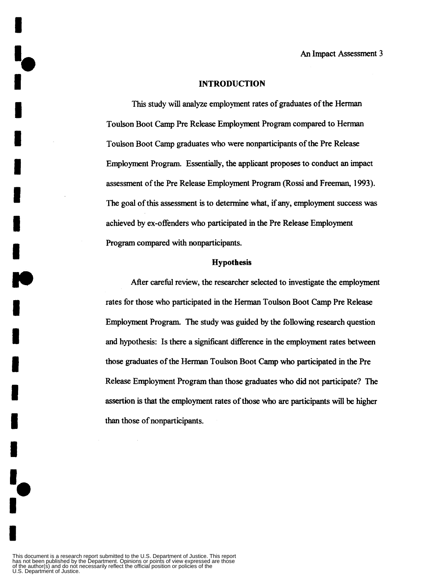#### **INTRODUCTION**

This study will analyze employment rates of graduates of the Herman Toulson Boot Camp Pre Release Employment Program compared to Herman Toulson Boot *Camp* graduates who were nonparticipants of the Pre Release Employment Program. Essentially, the applicant proposes to conduct **an** impact assessment of the Pre Release Employment Program (Rossi and Freeman, 1993). The goal of this assessment is to determine what, if any, employment success was achieved by ex-offenders who participated in the Pre Release Employment Program compared with nonparticipants.

#### **Hypothesis**

After careful review, the researcher selected to investigate the employment rates for those who participated in the Herman Toulson Boot Camp Pre Release Employment Program. The study was guided by the following research question and hypothesis: Is there a significant difference in the employment rates between those graduates of the Herman Toulson Boot Camp who participated in the Pre Release Employment Program than those graduates who did not participate? The assertion is that the employment rates of **those** who are participants will be **higher**  than those of nonparticipants.

**I**<br>!,

*<sup>8</sup>***a**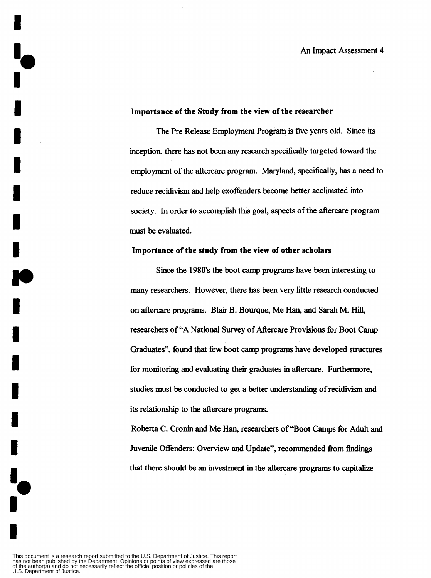#### **Importance of the Study from the view of the researcher**

The Pre Release Employment Program is five years old. Since its inception, there has not been any research specifically targeted toward the employment of the aftercare program. Maryland, specifically, has a need to reduce recidivism and help exoffenders become better acclimated into society. In order to accomplish this goal, aspects of the aftercare program **must** be evaluated.

#### **Importance of the study from the view of other scholars**

Since the **1980's** the boot camp programs have been interesting to many researchers. However, there **has** been very little research conducted on aftercare programs. Blair B. Bourque, Me Han, and Sarah M. Hill, researchers of **"A** National Survey of Aftercare Provisions for Boot Camp Graduates", found that few boot camp programs have developed structures for monitoring and evaluating their graduates in aftercare. Furthermore, studies must be conducted to get a better understanding of recidivism and its relationship to the aftercare programs.

Roberta **C.** Cronin and Me Han, researchers of "Boot Camps for Adult and Juvenile Offenders: Overview and Update", recommended fiom findings that there should be **an** investment in the aftercare programs to capitalize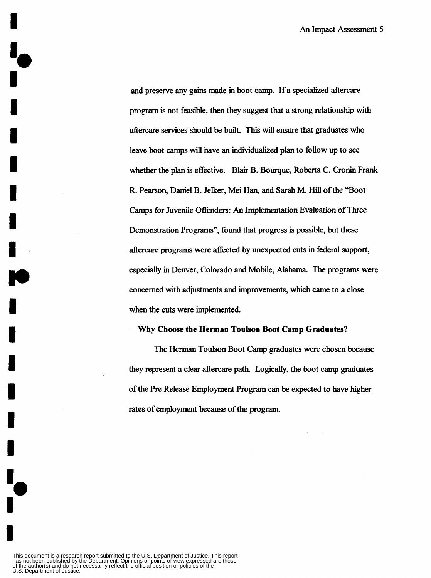and preserve any gains made in boot camp. If a specialized aftercare program is not feasible, then they suggest that a strong relationship with aftercare services should be built. This will ensure that graduates who leave boot camps will have an individualized plan to follow up to see whether the plan is effective. Blair B. Bourque, Roberta C. Cronin Frank R. Pearson, Daniel B. Jelker, Mei Han, and **Sarah** M. Hill of the "Boot Camps for Juvenile Offenders: *An* Implementation Evaluation of Three Demonstration Programs", found that progress is possible, but these aftercare programs were affected by unexpected cuts in federal support, especially in Denver, Colorado and Mobile, Alabama. The programs were concerned with adjustments and improvements, which came to a close when the cuts were implemented.

#### **Why Choose the Herman Toulson Boot Camp Graduates?**

The Herman Toulson Boot Camp graduates were chosen because they represent a clear aftercare path. Logically, the boot camp graduates of the Pre Release Employment Program can be expected to have higher rates of employment because of the program.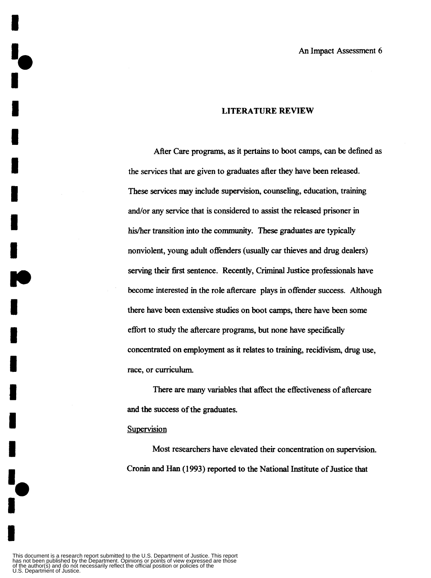#### **LITERATURE REVIEW**

After Care programs, **as** it **pertains** to boot camps, *can* be defined **as**  the services that are given to graduates after they have been released. These services may include supervision, counseling, education, training and/or any service that is considered to assist the released prisoner in his/her transition into the community. These graduates are typically nonviolent, young adult offenders (usually car thieves and drug dealers) serving their **first** sentence. Recently, Criminal Justice professionals have become interested in the role aftercare plays in offender success. Although there have been extensive studies on boot camps, there have been some effort to study the aftercare programs, but none have specifically concentrated on employment **as** it relates to training, recidivism, drug **use,**  race, or curriculum.

There are many variables that affect the effectiveness of aftercare and the success of the graduates.

#### Supervision

**1** 

**1** 

**I** 

**I** 

**I** 

**I** 

**I** 

**rn** 

**I** 

**I** 

**I** 

**I** 

**I** 

**I** 

Most researchers have elevated their concentration on supervision. Cronin and **Han** (1993) reported to the National Institute of Justice that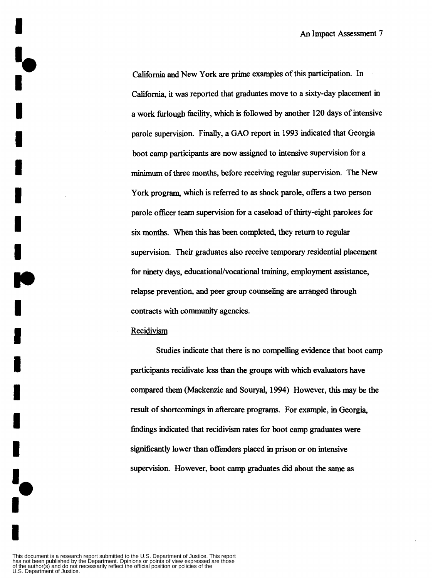**California** and New York **are** prime examples of this participation. In **California,** it was reported that graduates move to a sixty-day placement in a work furlough hcility, which is followed by another **120** days of intensive parole supervision. Finally, a GAO report in **1993** indicated that Georgia boot camp participants are now assigned to intensive supervision for a minimum of three months, before receiving regular supervision. The New York program, which is referred to **as** shock parole, offers a two person parole officer team supervision for a caseload of thirty-eight parolees for six months. **When** this has **been** completed, they return to regular supervision. Their graduates also receive temporary residential placement for ninety days, educational/vocational training, employment assistance, relapse prevention, and peer group counseling are arranged through contracts with community agencies.

#### Recidivism

**i**<br>!

Studies indicate that there is no compelling evidence that boot camp participants recidivate less than the groups with which evaluators have compared them (Mackenzie and **Souryal, 1994)** However, this may be the result of **shortcomings** in aftercare programs. For example, in Georgia, findings indicated that recidivism rates for boot camp graduates were significantly lower than offenders placed in prison or on intensive supervision. However, boot camp graduates did about the same **as**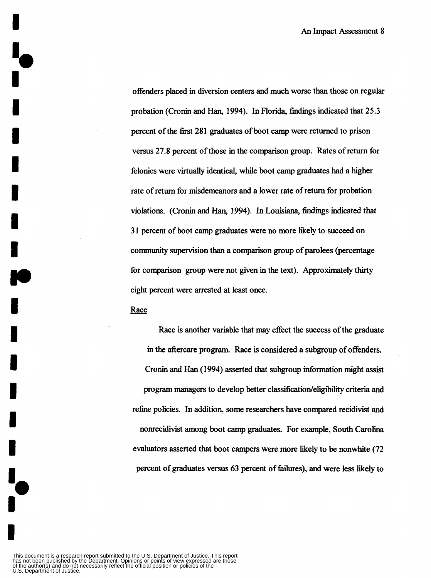offenders placed in diversion centers and much worse than those on regular probation (Cronin and **Han,** 1994). In Florida, findings indicated that 25.3 percent of the first 281 graduates of boot *camp* were returned to prison versus **27.8** percent of those in the comparison group. Rates of return for felonies were virtually identical, whiie boot *camp* graduates had a higher rate of return for misdemeanors and a lower rate of return for probation violations. (Cronin and Han, 1994). In Louisiana, findings indicated that 3 1 percent of boot camp graduates were no more likely to succeed on community supervision than a comparison group of parolees (percentage for comparison group were not given in the text). Approximately thirty eight percent were arrested at least once.

#### Race

**I** e

**I**<br>!,

Race is another variable that may effect the success of the graduate in the aftercare program. Race is considered **a** subgroup of offenders. Cronin and Han (1 994) asserted that subgroup information might **assist**  program managers to develop **better classiiicatiodeligibility** criteria and refine policies. In addition, **some** researchers have compared recidivist and nonrecidivist among boot *camp* graduates. For example, South Carolina evaluators asserted that boot campers were more likely to be nonwhite (72 percent of graduates versus 63 percent of failures), and were less likely to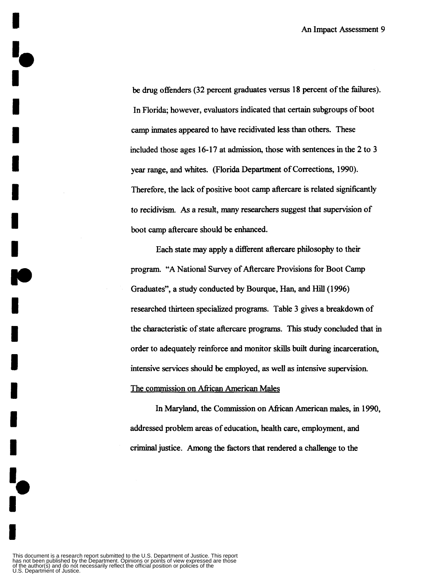be drug offenders (32 percent graduates versus 18 percent of the failures). In Florida; however, evaluators indicated that certain subgroups of boot camp inmates appeared to have recidivated less than others. These included those ages 16-17 at admission, those with sentences in the 2 to 3 year range, and whites. (Florida Department of Corrections, 1990). Therefore, the lack of positive boot camp aftercare is related significantly to recidivism. As a result, many researchers suggest that supervision of boot camp aftercare should be enhanced.

Each state may apply a different aftercare philosophy to their program. **"A** National Survey of Aftercare Provisions for Boot Camp Graduates", a study conducted by Bourque, Han, and Hill (1996) researched thirteen specialized programs. Table 3 gives a breakdown of the characteristic of state aftercare programs. This study concluded that in order to adequately reinforce and monitor **skills** built during incarceration, intensive services should be employed, **as** well **as** intensive supervision. The commission on African American Males

In Maryland, the Commission on *Afican* American **males,** in 1990, addressed problem areas of education, health care, employment, and criminal justice. Among the factors that rendered a challenge to the

This document is a research report submitted to the U.S. Department of Justice. This report<br>has not been published by the Department. Opinions or points of view expressed are those<br>of the author(s) and do not necessarily r

**I** 

**I** 

**I** 

**I** 

**I** 

**I** 

**I** 

*w* 

**I** 

**I** 

**I** 

**I** 

**I** 

**I** 

**I**<br>!,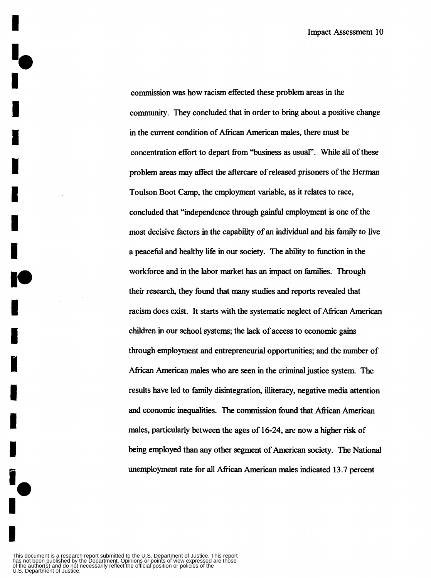commission was how racism effected these problem areas in the community. They concluded that in order to bring about a positive change in the current condition of African American males, there must be concentration effort to depart **ffom** "business **as** usual". While **all** of these problem areas may affect the aftercare of released prisoners of the Herman Toulson Boot Camp, the employment variable, **as** it relates to race, concluded that "independence through gainful employment is one of the most decisive factors in the capability of an individual and **his** family to live a peaceful and healthy life in our society. The ability to function in the workforce and in the labor market **has** an impact on families. Through their research, they found that many studies and reports revealed that racism does exist. It **starts** with the systematic neglect of African American children in our school systems; the lack of access to economic gains through employment and entrepreneurial opportunities; and the number of African American males who **are** seen in the criminal justice system. The results have led to family disintegration, illiteracy, negative media attention and economic inequalities. The commission found that African American males, particularly between the ages of **16-24,** are now a higher risk of being employed than any other segment of American society. The National unemployment rate for all African American males indicated **13.7** percent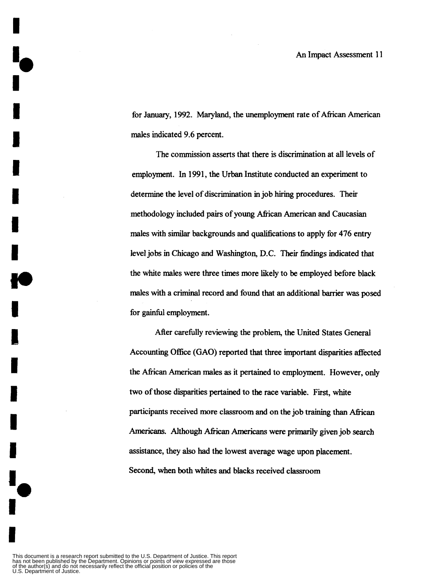for January, 1992. Maryland, the unemployment rate of African American males indicated **9.6** percent.

The commission asserts that there is discrimination at **all** levels of employment. In **1991,** the Urban Institute conducted an experiment to determine the level of discrimination in job hiring procedures. Their methodology included pairs of young African American and Caucasian males with *similar* backgrounds and qualifications to apply for **476** entry level jobs in **Chicago** and **Washington,** D.C. Their findings indicated that the white males were three times more likely to be employed before black males with a criminal record and found that an additional barrier was posed for gainful employment.

After carefully reviewing the problem, the United States General Accounting **Office** (GAO) reported that three important disparities affected the African American males **as** it pertained to employment. However, only **two** of **those** disparities pertained to the race variable. **First,** white participants received more classroom and on the job training than African Americans. Although *fican* Americans were primarily given job search assistance, they also had the lowest average wage upon placement. Second, when both whites and blacks received classroom

This document is a research report submitted to the U.S. Department of Justice. This report<br>has not been published by the Department. Opinions or points of view expressed are those<br>of the author(s) and do not necessarily r

**Io**<br>I

**1** 

**I** 

**1** 

**I** 

**1** 

**I** 

*1.* 

**I** 

**I,** 

**I** 

**I** 

**I** 

**I**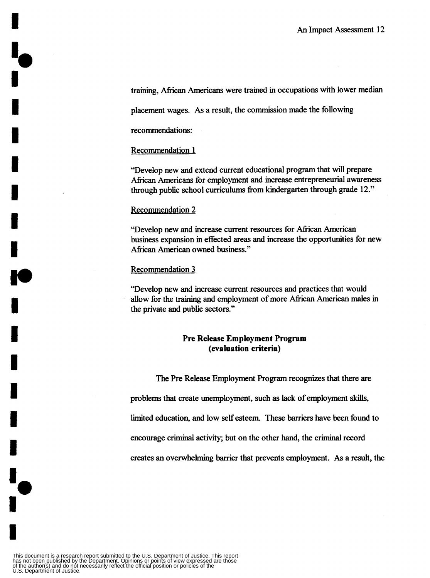training, African Americans were trained in occupations with lower median

placement wages. As a result, the commission made the following

recommendations:

#### Recommendation 1

"Develop new and extend current educational program that will prepare African Americans for employment and increase entrepreneurial awareness through public school curriculums fiom kindergarten through grade 12."

#### Recommendation 2

"Develop new and increase current resources for African American business expansion in effected areas and increase the opportunities for new African American owned business."

#### Recommendation 3

"Develop new and increase current resources and practices that would allow for the training and employment of more African American males in the private and public sectors."

#### **Pre Release Employment Program (evaluation criteria)**

The Pre Release Employment Program recognizes that there are problems that create unemployment, such **as** lack of employment skills, limited education, and low **self** esteem. These **barriers** have been found to encourage criminal activity; but on the other hand, the criminal record creates **an** overwhelming barrier that prevents employment. As a result, the

**1-**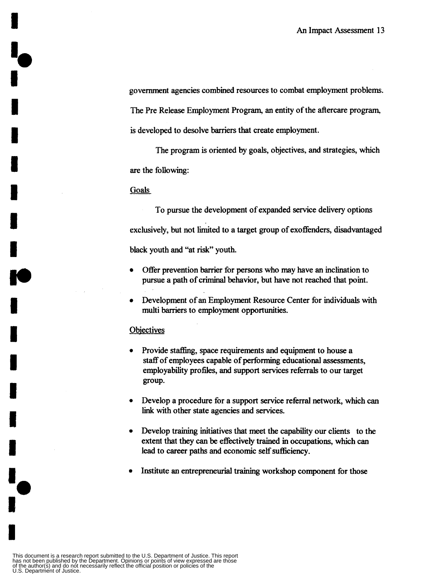government agencies combined resources to combat employment problems. The Pre Release Employment Program, an entity of the aftercare program, is developed to desolve barriers that create employment.

The program is oriented by goals, objectives, and strategies, which are the following:

#### **Goals**

To pursue the development of expanded Service delivery options exclusively, but not limited to a target group of exoffenders, disadvantaged black youth and "at **risk"** youth.

- Offer prevention barrier for persons who may have an inclination to pursue a path of criminal behavior, but have not reached that point.
- Development of an Employment Resource Center for individuals with  $\bullet$ multi **barriers** to employment opportunities.

#### **Objectives**

- Provide staffing, space requirements and equipment to house a staff of employees capable of performing educational assessments, employability profiles, and support services referrals to our target group.
- Develop a procedure for a support service referral network, which can  $\bullet$ link with other state agencies and services.
- Develop training initiatives that meet the capability our clients to the  $\bullet$ extent that they *can* be effectively trained in occupations, which *can*  lead to career paths and economic self sufficiency.
- Institute **an** entrepreneurial training workshop component for **those**   $\bullet$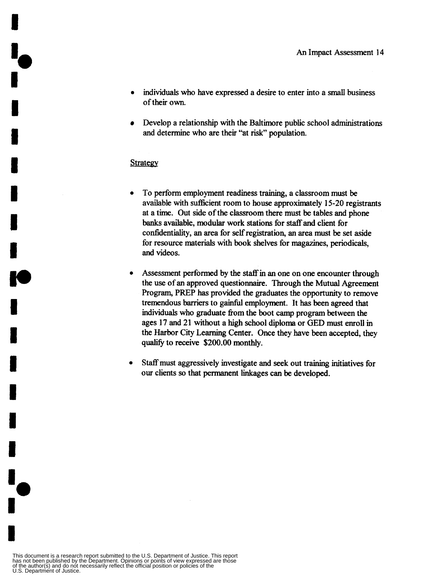- **e** individuals who have expressed a desire to enter into a small business of their own.
- $\bullet$ Develop a relationship with the Baltimore public school administrations and determine who are their "at **risk"** population.

#### **Strategy**

- To perform employment readiness training, a classroom must be available with sufficient room to house approximately 15-20 registrants at a time. Out side of the classroom there must be tables and phone banks available, modular work stations for **staff** and client for confidentiality, **an** area for selfregistration, an area must be set aside for resource materials with book shelves for magazines, periodicals, and videos.
- Assessment performed by the staff in an one on one encounter through  $\bullet$ the **use** of an approved questionnaire. Through the Mutual Agreement Program, PREP has provided the graduates the opportunity to remove tremendous barriers to gainful employment. It has been agreed that individuals who graduate fiom the boot camp program between the ages **17** and 21 without a high school diploma or GED must enroll in the Harbor City Learning Center. Once they have been accepted, they qualify to receive \$200.00 monthly.
- $\bullet$ Staffmust aggressively investigate and seek out training initiatives for our clients *so* that permanent linkages can be developed.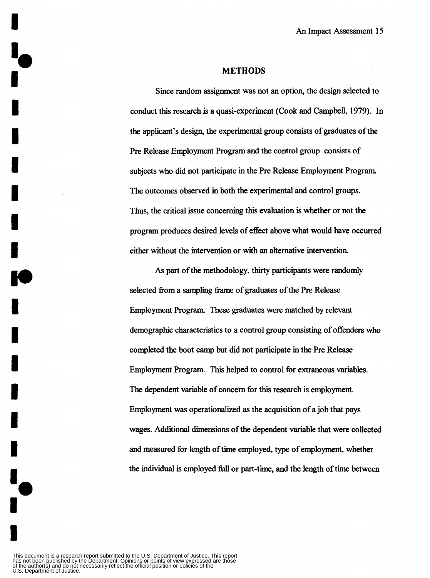#### **METHODS**

Since random assignment was not an option, the design selected to conduct this research is a quasi-experiment (Cook and **Campbell, 1979).** In the applicant's design, the experimental group consists of graduates of the Pre Release Employment Program and the control group consists of subjects who did not participate in the Pre Release Employment Program. The outcomes observed in both the experimental and control groups. **Thus,** the critical issue concerning this evaluation **is** whether or not the program produces desired levels of effect above what would have occurred either without the intervention or with an alternative intervention.

*As* part of the methodology, thirty participants were randomly selected fiom a sampling fiame of graduates of the Pre Release Employment Program. These graduates were matched by relevant demographic characteristics to a control group consisting of offenders who completed the boot camp but did not participate in the Pre Release Employment Program. This helped to control for extraneous variables. The dependent variable of concern for this research is employment. Employment was operationalized **as** the acquisition of a job that pays wages. Additional dimensions of the dependent variable that were collected and measured for length of time employed, **type** of employment, whether the individual is employed **hll** or part-time, and the length of time between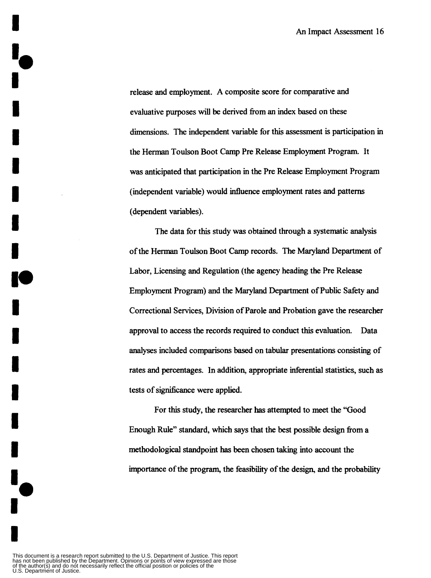release and employment. **A** composite score for comparative and evaluative purposes will be derived fiom an index based on these dimensions. The independent variable for this assessment **is** participation in the Herman Toulson Boot Camp Pre Release Employment Program. It was anticipated that participation in the Pre Release Employment Program (independent variable) would influence employment rates and patterns (dependent variables).

The data for this study was obtained through a systematic analysis of the Herman Toulson Boot Camp records. The Maryland Department of Labor, Licensing and Regulation (the agency heading the Pre Release Employment Program) and the Maryland Department of Public Safety and Correctional Services, Division of Parole and Probation gave the researcher approval to access the records required to conduct this evaluation. analyses included comparisons based on tabular presentations consisting of rates and percentages. In addition, appropriate inferential statistics, such **as**  tests of significance were applied. Data

For this study, the researcher has attempted to meet the "Good Enough Rule" standard, which says that the best possible design **fiom** a methodological standpoint has been chosen taking into account the importance of the program, the feasibility of the design, and the probability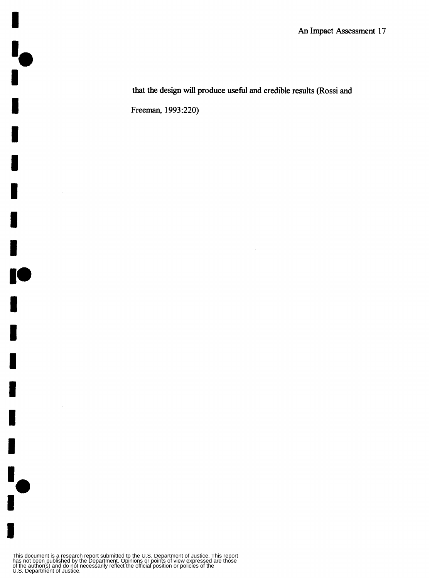**that the design** will **produce** useful **and credible results (Rossi** and **Freeman, 1993:220)** 

This document is a research report submitted to the U.S. Department of Justice. This report<br>has not been published by the Department. Opinions or points of view expressed are those<br>of the author(s) and do not necessarily r

 $\mathcal{A}$ 

**I**<br>!<br>!

**I** 

**I** 

**I** 

**I** 

**I** 

**I** 

**B** 

**I.** 

**I** 

**I** 

**I** 

**I** 

**I** 

**I** 

 $\mathbf{I}_{\mathbf{A}}$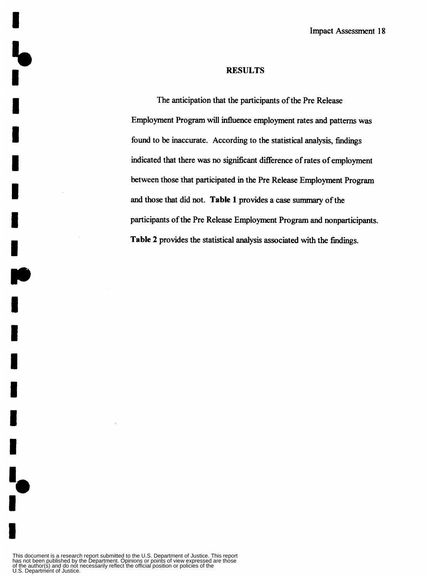#### **RESULTS**

The anticipation that the participants of the Pre Release Employment Program will influence employment rates and patterns was found to be inaccurate. According to the statistical analysis, findings indicated that there was no significant difference of rates of employment between those that participated in the Pre Release Employment Program and those that did not. **Table 1** provides a case summary of the participants of the Pre Release Employment Program and nonparticipants. **Table 2** provides the statistical analysis associated with the findings.

**I** 

**I** 

**I** 

**I** 

**I** 

**1** 

**I** 

**II)** 

**I** 

**I** 

**I** 

**I** 

**I** 

**I** 

**I-**

**1**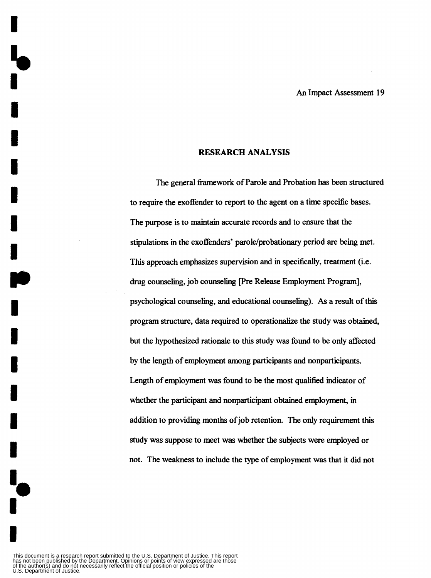#### **RESEARCH ANALYSIS**

The general fiamework of Parole and Probation **has** been structured to require the exoffender to report to the agent on a time specific bases. The purpose is to maintain accurate records and to ensure that the stipulations in the exoffenders' parole/probationary period are being met. This approach emphasizes supervision and in specifically, treatment (i.e. drug counseling, job counseling [Pre Release Employment Program], psychological counseling, and educational counseling). *As* **a** result of this program structure, data required to operationalize the study was obtained, but the hypothesized rationale to this study was found to be only affected by the length of employment **among** participants and nonparticipants. Length of employment **was** found to be the most qualified indicator of whether the participant and nonparticipant obtained employment, in addition to providing months of job retention. The only requirement this study was suppose to meet was whether the subjects were employed or not. The weakness to include the type of employment was that it did not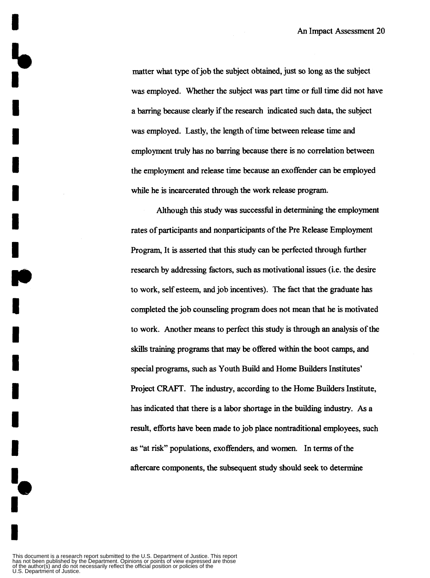matter what **type** of job the subject obtained, just *so* long **as** the subject was employed. Whether the subject was part time or **full** time did not have a barring because clearly if the research indicated such data, the subject was employed. Lastly, the length of time between release time and employment truly **has** no **barring** because there is no correlation between the employment and release time because an exoffender can be employed while he is incarcerated through the work release program.

Although this study was successful in determining the employment rates of participants and nonparticipants of the Pre Release Employment Program, It is asserted that this study can be perfected through fiuther research by addressing factors, such **as** motivational issues (i.e. the desire to work, **self** esteem, and job incentives). The fact that the graduate **has**  completed the job counseling program does not mean that he is motivated to work. Another **means** to perfect this study is through an analysis of the skills training programs that may be offered within the boot camps, and special programs, such **as** Youth Build and Home Builders Institutes' Project **CRAFT.** The industry, according to the Home Builders Institute, **has** indicated that there is a labor shortage in the building industry. **As a**  result, efforts have been made to job place nontraditional employees, such **as** "at **risk"** populations, exoffenders, and women. In terms of the aftercare components, the subsequent study **should** seek **to** determine

This document is a research report submitted to the U.S. Department of Justice. This report<br>has not been published by the Department. Opinions or points of view expressed are those<br>of the author(s) and do not necessarily r

**I** 

**I** 

**I** 

**I** 

**I** 

**I** 

**I** 

*18* 

**I** 

**I** 

**I** 

**I** 

**I** 

**I**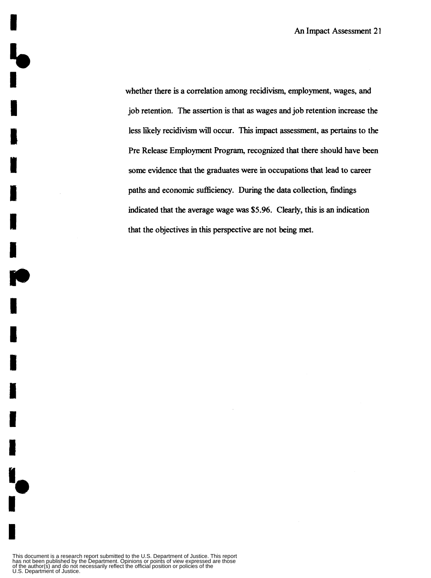whether there is a correlation among recidivism, employment, wages, and job retention. The assertion is that **as** wages and job retention increase the less likely recidivism will occur. This impact assessment, **as** pertains to the Pre Release Employment Program, recognized that there should have been **some** evidence that the graduates were in occupations that lead to career paths and economic sufficiency. **During** the data collection, findings indicated that the average wage was *\$5.96.* Clearly, this is an indication that the objectives in this perspective are not being met.

 $\mathbf{I}_{\bullet}$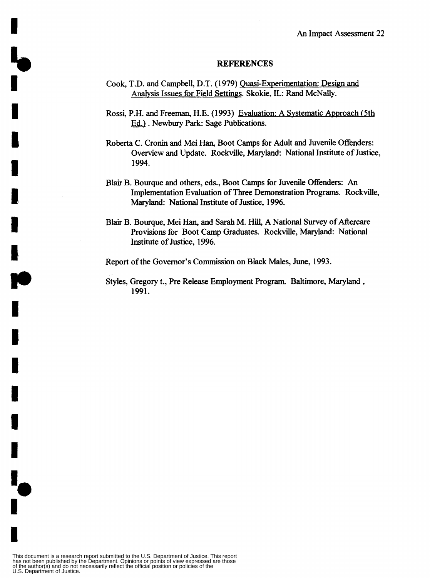#### **REFERENCES**

- Cook, T.D. and Campbell, D.T. (1979) Quasi-Experimentation: Design and **Analvsis** Issues for Field Settings. Skokie, IL: Rand McNally.
- Rossi, P.H. and Freeman, H.E. (1 **993)** Evaluation: A Systematic ADproach (5th Ed.). Newbury Park: Sage Publications.
- Roberta C. Cronin and Mei Han, Boot Camps for Adult and Juvenile Offenders: Overview and Update. Rockville, Maryland: National Institute of Justice, **1994.**
- Blair B. Bourque and others, eds., Boot Camps for Juvenile Offenders: *An*  Implementation Evaluation of Three Demonstration Programs. Rockville, Maryland: National Institute of Justice, 1996.
- Blair B. Bourque, Mei **Han,** and Sarah M. Hill, A National Survey of Aftercare Provisions for Boot Camp Graduates. Rockville, Maryland: National Institute of Justice, **1996.**
- Report of the Governor's Commission on Black Males, June, **1993.**
- Styles, Gregory t., Pre Release Employment Program, Baltimore, Maryland , **1991.**

**b** 

l<sub>d</sub>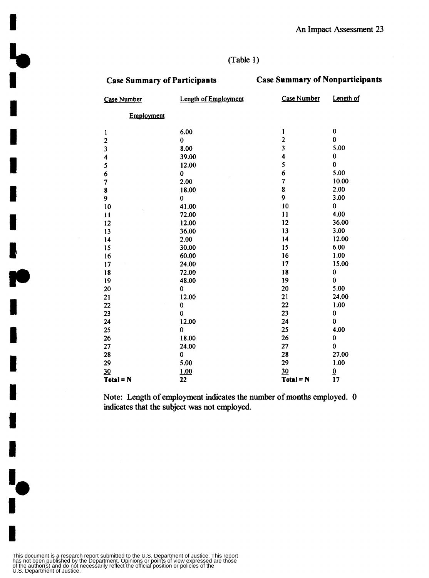#### (Table 1)

 $\mathbf{L}$ 

**M** 

 $\mathbf{I}_{\bullet}$ 

#### **Case Summary of Participants Case Summary of Nonparticipants**

| <b>Case Number</b>      | <b>Length of Employment</b> | Case Number    | Length of                |
|-------------------------|-----------------------------|----------------|--------------------------|
| Employment              |                             |                |                          |
| 1                       | 6.00                        | 1              | $\pmb{0}$                |
| $\overline{\mathbf{c}}$ | 0                           | $\overline{2}$ | $\bf{0}$                 |
| 3                       | 8.00                        | 3              | 5.00                     |
| 4                       | 39.00                       | 4              | $\pmb{0}$                |
| 5                       | 12.00                       | 5              | $\bf{0}$                 |
| 6                       | 0                           | 6              | 5.00                     |
| $\overline{7}$          | 2.00                        | 7              | 10.00                    |
| 8                       | 18.00                       | 8              | 2.00                     |
| 9                       | 0                           | 9              | 3.00                     |
| 10                      | 41.00                       | 10             | 0                        |
| 11                      | 72.00                       | 11             | 4.00                     |
| 12                      | 12.00                       | 12             | 36.00                    |
| 13                      | 36.00                       | 13             | 3.00                     |
| 14                      | 2.00                        | 14             | 12.00                    |
| 15                      | 30.00                       | 15             | 6.00                     |
| 16                      | 60.00                       | 16             | 1.00                     |
| 17                      | 24.00                       | 17             | 15.00                    |
| 18                      | 72.00                       | 18             | $\pmb{0}$                |
| 19                      | 48.00                       | 19             | $\bf{0}$                 |
| 20                      | 0                           | 20             | 5.00                     |
| 21                      | 12.00                       | 21             | 24.00                    |
| 22                      | 0                           | 22             | 1.00                     |
| 23                      | 0                           | 23             | $\pmb{0}$                |
| 24                      | 12.00                       | 24             | $\bf{0}$                 |
| 25                      | 0                           | 25             | 4.00                     |
| 26                      | 18.00                       | 26             | $\bf{0}$                 |
| 27                      | 24.00                       | 27             | $\bf{0}$                 |
| 28                      | 0                           | 28             | 27.00                    |
| 29                      | 5.00                        | 29             | 1.00                     |
| 30                      | 1.00                        | 30             | $\underline{\mathbf{0}}$ |
| $Total = N$             | 22                          | $Total = N$    | 17                       |

Note: Length of employment indicates the number of months employed. 0 indicates that the subject was not employed.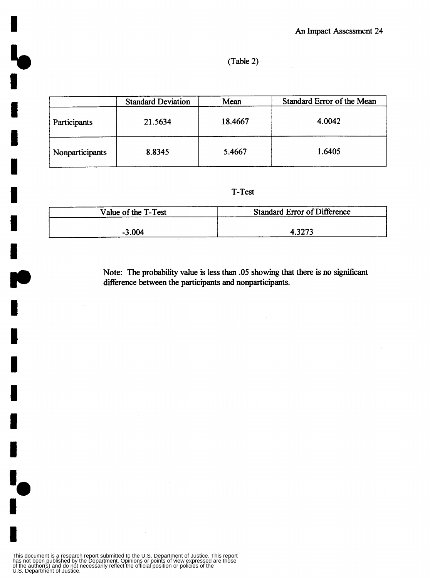#### **(Table 2)**

|                 | <b>Standard Deviation</b> | Mean    | Standard Error of the Mean |
|-----------------|---------------------------|---------|----------------------------|
| Participants    | 21.5634                   | 18.4667 | 4.0042                     |
| Nonparticipants | 8.8345                    | 5.4667  | 1.6405                     |

**T-Test** 

| Value of the T-Test | <b>Standard Error of Difference</b> |
|---------------------|-------------------------------------|
|                     |                                     |
| $-3.004$            | 4.327?                              |

Note: The probability value is less than .05 showing that there is no significant **difference between the participants and nonparticipants.**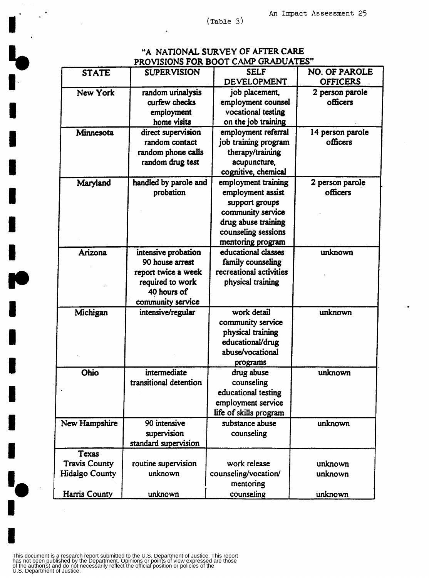$\ddot{\phantom{1}}$ 

 $\sim$   $^{\circ}$ 

#### "A NATIONAL SURVEY OF AFTER CARE PROVISIONS FOR BOOT CAMP GRADUATES"

| <b>STATE</b>          | <b>SUPERVISION</b>     | <b>SELF</b>             | <b>NO. OF PAROLE</b> |
|-----------------------|------------------------|-------------------------|----------------------|
|                       |                        | DEVELOPMENT             | <b>OFFICERS</b>      |
| <b>New York</b>       | random urinalysis      | job placement,          | 2 person parole      |
|                       | curfew checks          | employment counsel      | officers             |
|                       | employment             | vocational testing      |                      |
|                       | home visits            | on the job training     |                      |
| Minnesota             | direct supervision     | employment referral     | 14 person parole     |
|                       | random contact         | job training program    | officers             |
|                       | random phone calls     | therapy/training        |                      |
|                       | random drug test       | acupuncture,            |                      |
|                       |                        | cognitive, chemical     |                      |
| Maryland              | handled by parole and  | employment training     | 2 person parole      |
|                       | probation              | employment assist       | officers             |
|                       |                        | support groups          |                      |
|                       |                        | community service       |                      |
|                       |                        | drug abuse training     |                      |
|                       |                        | counseling sessions     |                      |
|                       |                        | mentoring program       |                      |
| Arizona               | intensive probation    | educational classes     | unknown              |
|                       | 90 house arrest        | family counseling       |                      |
|                       | report twice a week    | recreational activities |                      |
|                       | required to work       | physical training       |                      |
|                       | 40 hours of            |                         |                      |
|                       | community service      |                         |                      |
| Michigan              | intensive/regular      | work detail             | unknown              |
|                       |                        | community service       |                      |
|                       |                        | physical training       |                      |
|                       |                        | educational/drug        |                      |
|                       |                        | abuse/vocational        |                      |
|                       |                        | programs                |                      |
| Ohio                  | intermediate           | drug abuse              | unknown              |
|                       | transitional detention | counseling              |                      |
|                       |                        | educational testing     |                      |
|                       |                        | employment service      |                      |
|                       |                        | life of skills program  |                      |
| New Hampshire         | 90 intensive           | substance abuse         | unknown              |
|                       | supervision            | counseling              |                      |
|                       | standard supervision   |                         |                      |
| Texas                 |                        |                         |                      |
| <b>Travis County</b>  | routine supervision    | work release            | unknown              |
| <b>Hidalgo County</b> | unknown                | counseling/vocation/    | unknown              |
|                       |                        | mentoring               |                      |
| Harris County         | unknown                | counseling              | unknown              |
|                       |                        |                         |                      |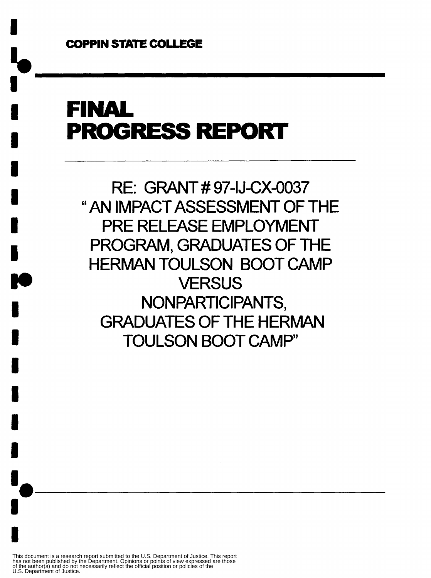**I** 

## FINAL **PROGRESS REPORT**

RE: GRANT # 97-IJ-CX-0037 "AN IMPACT ASSESSMENT OF THE PRE RELEASE EMPLOYMENT PROGRAM, GRADUATES OF THE HERMAN TOULSON BOOT CAMP **VERSUS** NON PARTICIPANTS, GRADUATES OF THE HERMAN TOULSON BOOT CAMP'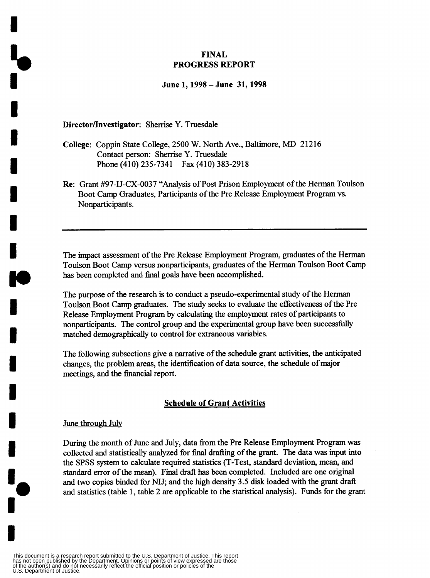#### **FINAL PROGRESS REPORT**

#### **June 1,1998 -June 31,1998**

#### **Directorflnvestigator:** Sherrise **Y.** Truesdale

- **College:** Coppin State College, 2500 W. North Ave., Baltimore, MD 21216 Contact person: Sherrise Y. Truesdale Phone (410) 235-7341 Fax (410) 383-2918
- **Re:** Grant #97-IJ-CX-O037 "Analysis of Post Prison Employment of the Herman Toulson Boot Camp Graduates, Participants of the Pre Release Employment Program vs. Nonparticipants.

The impact assessment of the Pre Release Employment Program, graduates of the Herman Toulson Boot Camp versus nonparticipants, graduates of the Herman Toulson Boot Camp has been completed and final goals have been accomplished.

The purpose of the research is to conduct a pseudo-experimental study of the Herman Toulson Boot Camp graduates. The study seeks to evaluate the effectiveness of the Pre Release Employment Program by calculating the employment rates of participants to nonparticipants. The control group and the experimental group have been successhlly matched demographically to control for extraneous variables.

The following subsections give a narrative of the schedule grant activities, the anticipated changes, the problem areas, the identification of data source, the schedule of major meetings, and the financial report.

#### **Schedule of Grant Activities**

#### June through July

**a**<br>!<br>!

ł

**I-**

During the month of June and July, data fiom the Pre Release Employment Program was collected and statistically analyzed for final drafting of the grant. The data was input into the SPSS system to calculate required statistics (T-Test, standard deviation, mean, and standard error of the mean). Final draft **has** been completed. Included are one original and two copies binded for NIJ; and the high density 3.5 disk loaded with the grant draft and statistics (table 1, table 2 are applicable to the statistical analysis). Funds for the grant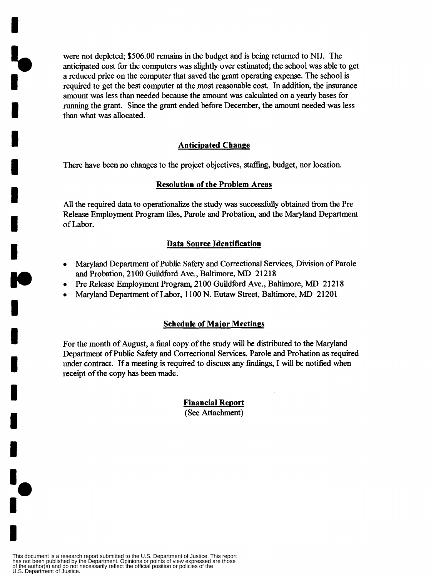were not depleted; \$506.00 remains in the budget and is being returned to **NIJ.** The anticipated cost for the computers was slightly over estimated; the school was able to get a reduced price on the computer that saved the grant operating expense. The school is required to get the best computer at the **most** reasonable cost. In addition, the insurance amount was less than needed because the amount was calculated on a yearly bases for running the grant. Since the grant ended before December, the amount needed **was** less than what was allocated.

**i**o<br>I

**I** 

**1** 

**i** 

**I** 

**I** 

**I** 

**I.** 

**I** 

**I** 

**I** 

**I** 

**I** 

**1** 

**I** I.

#### **Anticipated Change**

There have been no changes to the project objectives, staffing, budget, nor location.

#### **Resolution of the Problem Areas**

All the required data to operationalize the study was successfully obtained from the Pre Release Employment Program files, Parole and Probation, and the Maryland Department of Labor.

#### **Data Source Identification**

- **Maryland Department of Public Safety and Correctional Services, Division of Parole** and Probation, 2100 Guildford Ave., Baltimore, MD 21218
- *0* Pre Release Employment Program, 2 100 Guildford Ave., Baltimore, MD 2 12 **18**
- *<sup>0</sup>*Maryland Department of Labor, 1 100 N. Eutaw Street, Baltimore, MD 21201

#### **Schedule of Major Meetinps**

For the month of August, a final copy of the study will be distributed to the Maryland Department of Public Safety and Correctional Services, Parole and Probation **as** required under contract. If a meeting is required to discuss any findings, I will be notified when receipt of the copy **has** been made.

> **Financial Report**  (See Attachment)